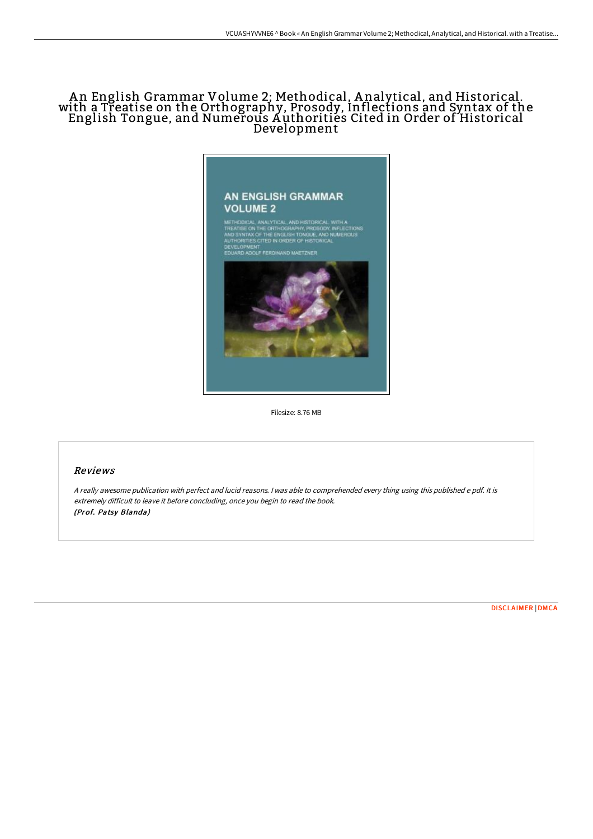## <sup>A</sup> <sup>n</sup> English Grammar Volume 2; Methodical, <sup>A</sup> nalytical, and Historical. with <sup>a</sup> Treatise on the Orthography, Prosody, Inflections and Syntax of the English Tongue, and Numerous A uthorities Cited in Order of Historical Development



Filesize: 8.76 MB

## Reviews

<sup>A</sup> really awesome publication with perfect and lucid reasons. <sup>I</sup> was able to comprehended every thing using this published <sup>e</sup> pdf. It is extremely difficult to leave it before concluding, once you begin to read the book. (Prof. Patsy Blanda)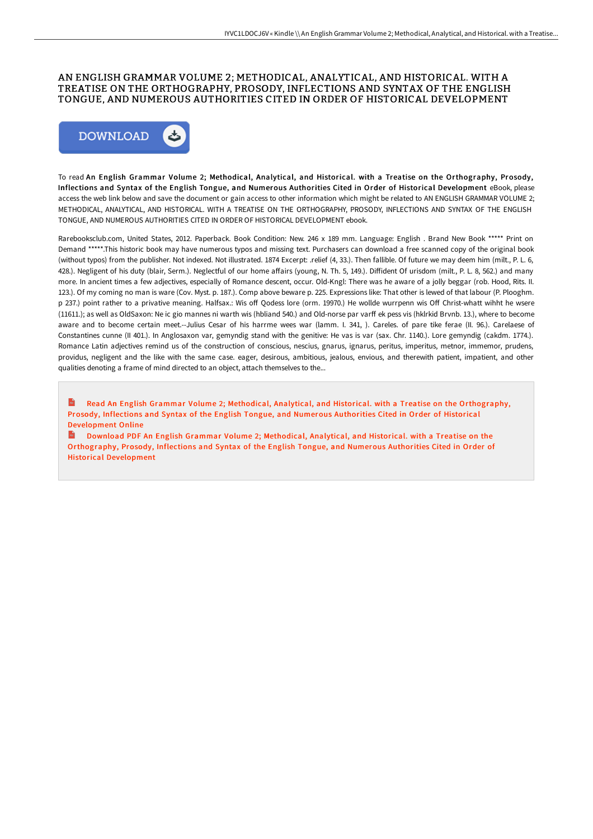## AN ENGLISH GRAMMAR VOLUME 2; METHODICAL, ANALYTICAL, AND HISTORICAL. WITH A TREATISE ON THE ORTHOGRAPHY, PROSODY, INFLECTIONS AND SYNTAX OF THE ENGLISH TONGUE, AND NUMEROUS AUTHORITIES CITED IN ORDER OF HISTORICAL DEVELOPMENT



To read An English Grammar Volume 2; Methodical, Analytical, and Historical. with a Treatise on the Orthography, Prosody, Inflections and Syntax of the English Tongue, and Numerous Authorities Cited in Order of Historical Development eBook, please access the web link below and save the document or gain access to other information which might be related to AN ENGLISH GRAMMAR VOLUME 2; METHODICAL, ANALYTICAL, AND HISTORICAL. WITH A TREATISE ON THE ORTHOGRAPHY, PROSODY, INFLECTIONS AND SYNTAX OF THE ENGLISH TONGUE, AND NUMEROUS AUTHORITIES CITED IN ORDER OF HISTORICAL DEVELOPMENT ebook.

Rarebooksclub.com, United States, 2012. Paperback. Book Condition: New. 246 x 189 mm. Language: English . Brand New Book \*\*\*\*\* Print on Demand \*\*\*\*\*.This historic book may have numerous typos and missing text. Purchasers can download a free scanned copy of the original book (without typos) from the publisher. Not indexed. Not illustrated. 1874 Excerpt: .relief (4, 33.). Then fallible. Of future we may deem him (milt., P. L. 6, 428.). Negligent of his duty (blair, Serm.). Neglectful of our home aFairs (young, N. Th. 5, 149.). DiFident Of urisdom (milt., P. L. 8, 562.) and many more. In ancient times a few adjectives, especially of Romance descent, occur. Old-Kngl: There was he aware of a jolly beggar (rob. Hood, Rits. II. 123.). Of my coming no man is ware (Cov. Myst. p. 187.). Comp above beware p. 225. Expressions like: That other is lewed of that labour (P. Plooghm. p 237.) point rather to a privative meaning. Halfsax.: Wis off Qodess lore (orm. 19970.) He wollde wurrpenn wis Off Christ-whatt wihht he wsere (11611.); as well as OldSaxon: Ne ic gio mannes ni warth wis (hbliand 540.) and Old-norse par varF ek pess vis (hklrkid Brvnb. 13.), where to become aware and to become certain meet.--Julius Cesar of his harrme wees war (lamm. I. 341, ). Careles. of pare tike ferae (II. 96.). Carelaese of Constantines cunne (II 401.). In Anglosaxon var, gemyndig stand with the genitive: He vas is var (sax. Chr. 1140.). Lore gemyndig (cakdm. 1774.). Romance Latin adjectives remind us of the construction of conscious, nescius, gnarus, ignarus, peritus, imperitus, metnor, immemor, prudens, providus, negligent and the like with the same case. eager, desirous, ambitious, jealous, envious, and therewith patient, impatient, and other qualities denoting a frame of mind directed to an object, attach themselves to the...

Read An English Grammar Volume 2; Methodical, Analytical, and Historical. with a Treatise on the [Orthography,](http://bookera.tech/an-english-grammar-volume-2-methodical-analytica.html) Prosody, Inflections and Syntax of the English Tongue, and Numerous Authorities Cited in Order of Historical Development Online

Download PDF An English Grammar Volume 2; Methodical, Analytical, and Historical. with a Treatise on the [Orthography,](http://bookera.tech/an-english-grammar-volume-2-methodical-analytica.html) Prosody, Inflections and Syntax of the English Tongue, and Numerous Authorities Cited in Order of Historical Development